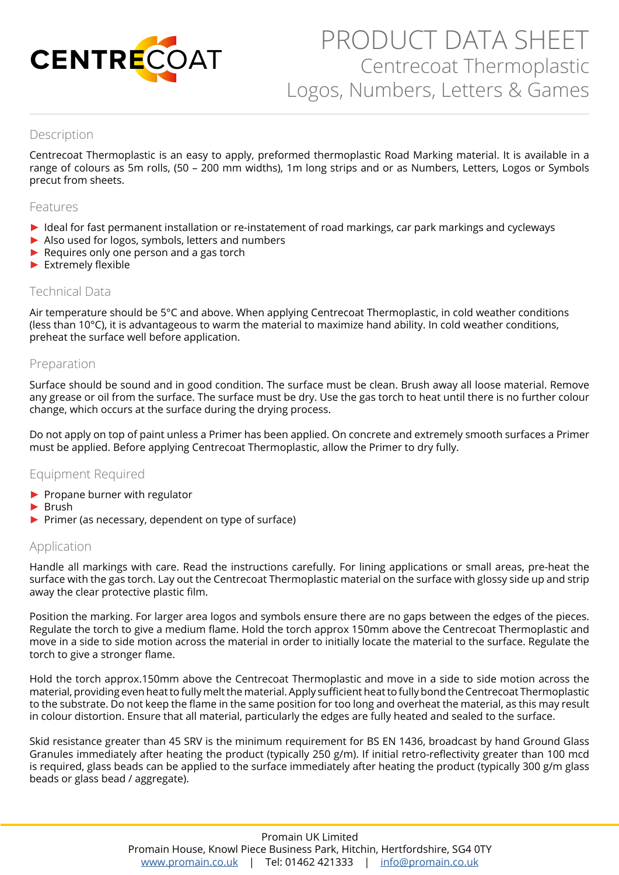

# PRODUCT DATA SHEET Centrecoat Thermoplastic Logos, Numbers, Letters & Games

# Description

Centrecoat Thermoplastic is an easy to apply, preformed thermoplastic Road Marking material. It is available in a range of colours as 5m rolls, (50 – 200 mm widths), 1m long strips and or as Numbers, Letters, Logos or Symbols precut from sheets.

#### Features

- ► Ideal for fast permanent installation or re-instatement of road markings, car park markings and cycleways
- ► Also used for logos, symbols, letters and numbers
- ► Requires only one person and a gas torch
- ► Extremely flexible

#### Technical Data

Air temperature should be 5°C and above. When applying Centrecoat Thermoplastic, in cold weather conditions (less than 10°C), it is advantageous to warm the material to maximize hand ability. In cold weather conditions, preheat the surface well before application.

## Preparation

Surface should be sound and in good condition. The surface must be clean. Brush away all loose material. Remove any grease or oil from the surface. The surface must be dry. Use the gas torch to heat until there is no further colour change, which occurs at the surface during the drying process.

Do not apply on top of paint unless a Primer has been applied. On concrete and extremely smooth surfaces a Primer must be applied. Before applying Centrecoat Thermoplastic, allow the Primer to dry fully.

#### Equipment Required

- ► Propane burner with regulator
- ► Brush
- ► Primer (as necessary, dependent on type of surface)

#### Application

Handle all markings with care. Read the instructions carefully. For lining applications or small areas, pre-heat the surface with the gas torch. Lay out the Centrecoat Thermoplastic material on the surface with glossy side up and strip away the clear protective plastic film.

Position the marking. For larger area logos and symbols ensure there are no gaps between the edges of the pieces. Regulate the torch to give a medium flame. Hold the torch approx 150mm above the Centrecoat Thermoplastic and move in a side to side motion across the material in order to initially locate the material to the surface. Regulate the torch to give a stronger flame.

Hold the torch approx.150mm above the Centrecoat Thermoplastic and move in a side to side motion across the material, providing even heat to fully melt the material. Apply sufficient heat to fully bond the Centrecoat Thermoplastic to the substrate. Do not keep the flame in the same position for too long and overheat the material, as this may result in colour distortion. Ensure that all material, particularly the edges are fully heated and sealed to the surface.

Skid resistance greater than 45 SRV is the minimum requirement for BS EN 1436, broadcast by hand Ground Glass Granules immediately after heating the product (typically 250 g/m). If initial retro-reflectivity greater than 100 mcd is required, glass beads can be applied to the surface immediately after heating the product (typically 300 g/m glass beads or glass bead / aggregate).